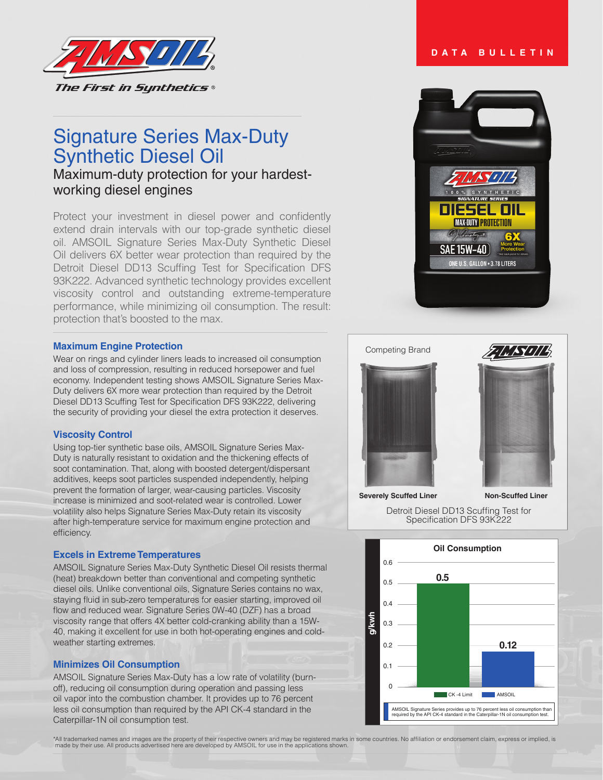

# Signature Series Max-Duty Synthetic Diesel Oil

Maximum-duty protection for your hardestworking diesel engines

Protect your investment in diesel power and confidently extend drain intervals with our top-grade synthetic diesel oil. AMSOIL Signature Series Max-Duty Synthetic Diesel Oil delivers 6X better wear protection than required by the Detroit Diesel DD13 Scuffing Test for Specification DFS 93K222. Advanced synthetic technology provides excellent viscosity control and outstanding extreme-temperature performance, while minimizing oil consumption. The result: protection that's boosted to the max.

#### **Maximum Engine Protection**

Wear on rings and cylinder liners leads to increased oil consumption and loss of compression, resulting in reduced horsepower and fuel economy. Independent testing shows AMSOIL Signature Series Max-Duty delivers 6X more wear protection than required by the Detroit Diesel DD13 Scuffing Test for Specification DFS 93K222, delivering the security of providing your diesel the extra protection it deserves.

#### **Viscosity Control**

Using top-tier synthetic base oils, AMSOIL Signature Series Max-Duty is naturally resistant to oxidation and the thickening effects of soot contamination. That, along with boosted detergent/dispersant additives, keeps soot particles suspended independently, helping prevent the formation of larger, wear-causing particles. Viscosity increase is minimized and soot-related wear is controlled. Lower volatility also helps Signature Series Max-Duty retain its viscosity after high-temperature service for maximum engine protection and efficiency.

### **Excels in Extreme Temperatures**

AMSOIL Signature Series Max-Duty Synthetic Diesel Oil resists thermal (heat) breakdown better than conventional and competing synthetic diesel oils. Unlike conventional oils, Signature Series contains no wax, staying fluid in sub-zero temperatures for easier starting, improved oil flow and reduced wear. Signature Series 0W-40 (DZF) has a broad viscosity range that offers 4X better cold-cranking ability than a 15W-40, making it excellent for use in both hot-operating engines and coldweather starting extremes.

### **Minimizes Oil Consumption**

AMSOIL Signature Series Max-Duty has a low rate of volatility (burnoff), reducing oil consumption during operation and passing less oil vapor into the combustion chamber. It provides up to 76 percent less oil consumption than required by the API CK-4 standard in the Caterpillar-1N oil consumption test.





Detroit Diesel DD13 Scuffing Test for Specification DFS 93K222



\*All trademarked names and images are the property of their respective owners and may be registered marks in some countries. No affiliation or endorsement claim, express or implied, is made by their use. All products adver